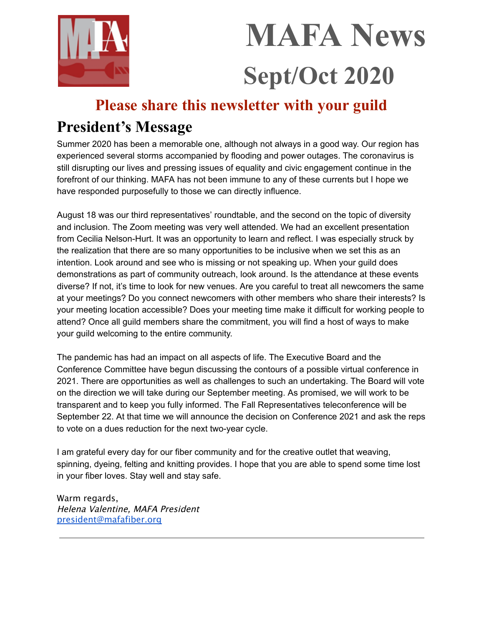

# **MAFA News Sept/Oct 2020**

# **Please share this newsletter with your guild**

# **President's Message**

Summer 2020 has been a memorable one, although not always in a good way. Our region has experienced several storms accompanied by flooding and power outages. The coronavirus is still disrupting our lives and pressing issues of equality and civic engagement continue in the forefront of our thinking. MAFA has not been immune to any of these currents but I hope we have responded purposefully to those we can directly influence.

August 18 was our third representatives' roundtable, and the second on the topic of diversity and inclusion. The Zoom meeting was very well attended. We had an excellent presentation from Cecilia Nelson-Hurt. It was an opportunity to learn and reflect. I was especially struck by the realization that there are so many opportunities to be inclusive when we set this as an intention. Look around and see who is missing or not speaking up. When your guild does demonstrations as part of community outreach, look around. Is the attendance at these events diverse? If not, it's time to look for new venues. Are you careful to treat all newcomers the same at your meetings? Do you connect newcomers with other members who share their interests? Is your meeting location accessible? Does your meeting time make it difficult for working people to attend? Once all guild members share the commitment, you will find a host of ways to make your guild welcoming to the entire community.

The pandemic has had an impact on all aspects of life. The Executive Board and the Conference Committee have begun discussing the contours of a possible virtual conference in 2021. There are opportunities as well as challenges to such an undertaking. The Board will vote on the direction we will take during our September meeting. As promised, we will work to be transparent and to keep you fully informed. The Fall Representatives teleconference will be September 22. At that time we will announce the decision on Conference 2021 and ask the reps to vote on a dues reduction for the next two-year cycle.

I am grateful every day for our fiber community and for the creative outlet that weaving, spinning, dyeing, felting and knitting provides. I hope that you are able to spend some time lost in your fiber loves. Stay well and stay safe.

Warm regards, Helena Valentine, MAFA President [president@mafafiber.org](mailto:president@mafafiber.org)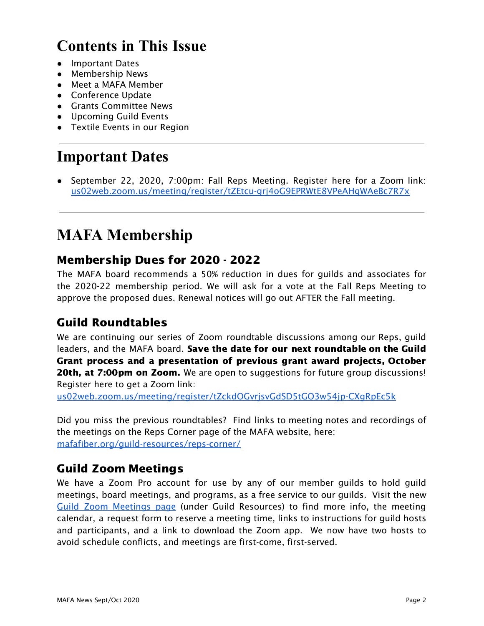# **Contents in This Issue**

- Important Dates
- Membership News
- Meet a MAFA Member
- Conference Update
- Grants Committee News
- Upcoming Guild Events
- Textile Events in our Region

# **Important Dates**

● September 22, 2020, 7:00pm: Fall Reps Meeting. Register here for a Zoom link: [us02web.zoom.us/meeting/register/tZEtcu-grj4oG9EPRWtE8VPeAHgWAeBc7R7x](https://us02web.zoom.us/meeting/register/tZEtcu-grj4oG9EPRWtE8VPeAHgWAeBc7R7x)

# **MAFA Membership**

# Membership Dues for 2020 - 2022

The MAFA board recommends a 50% reduction in dues for guilds and associates for the 2020-22 membership period. We will ask for a vote at the Fall Reps Meeting to approve the proposed dues. Renewal notices will go out AFTER the Fall meeting.

# Guild Roundtables

We are continuing our series of Zoom roundtable discussions among our Reps, guild leaders, and the MAFA board. Save the date for our next roundtable on the Guild Grant process and a presentation of previous grant award projects, October **20th, at 7:00pm on Zoom.** We are open to suggestions for future group discussions! Register here to get a Zoom link:

[us02web.zoom.us/meeting/register/tZckdOGvrjsvGdSD5tGO3w54jp-CXgRpEc5k](https://us02web.zoom.us/meeting/register/tZckdOGvrjsvGdSD5tGO3w54jp-CXgRpEc5k)

Did you miss the previous roundtables? Find links to meeting notes and recordings of the meetings on the Reps Corner page of the MAFA website, here: [mafafiber.org/guild-resources/reps-corner/](https://mafafiber.org/guild-resources/reps-corner/)

## Guild Zoom Meetings

We have a Zoom Pro account for use by any of our member guilds to hold guild meetings, board meetings, and programs, as a free service to our guilds. Visit the new Guild Zoom [Meetings](https://mafafiber.org/guild-resources/guild-zoom-meetings/) page (under Guild Resources) to find more info, the meeting calendar, a request form to reserve a meeting time, links to instructions for guild hosts and participants, and a link to download the Zoom app. We now have two hosts to avoid schedule conflicts, and meetings are first-come, first-served.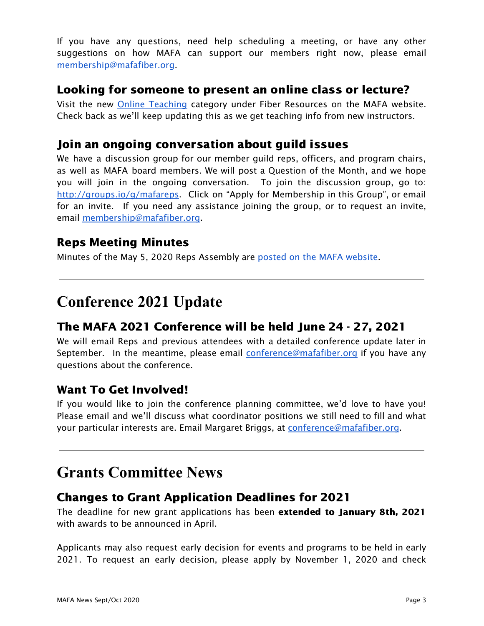If you have any questions, need help scheduling a meeting, or have any other suggestions on how MAFA can support our members right now, please email [membership@mafafiber.org.](mailto:membership@mafafiber.org)

## Looking for someone to present an online class or lecture?

Visit the new Online [Teaching](https://mafafiber.org/resource_category/online-teaching/) category under Fiber Resources on the MAFA website. Check back as we'll keep updating this as we get teaching info from new instructors.

# Join an ongoing conversation about guild issues

We have a discussion group for our member guild reps, officers, and program chairs, as well as MAFA board members. We will post a Question of the Month, and we hope you will join in the ongoing conversation. To join the discussion group, go to: <http://groups.io/g/mafareps>. Click on "Apply for Membership in this Group", or email for an invite. If you need any assistance joining the group, or to request an invite, email [membership@mafafiber.org.](mailto:membership@mafafiber.org)

## Reps Meeting Minutes

Minutes of the May 5, 2020 Reps Assembly are posted on the MAFA [website](https://mafafiber.org/wp-content/uploads/Reps-Meetings/RepsMeetingMinutesMay_5_2020.pdf).

# **Conference 2021 Update**

# The MAFA 2021 Conference will be held June 24 - 27, 2021

We will email Reps and previous attendees with a detailed conference update later in September. In the meantime, please email [conference@mafafiber.org](mailto:conference@mafafiber.org) if you have any questions about the conference.

## Want To Get Involved!

If you would like to join the conference planning committee, we'd love to have you! Please email and we'll discuss what coordinator positions we still need to fill and what your particular interests are. Email Margaret Briggs, at [conference@mafafiber.org.](mailto:conference@mafafiber.org)

# **Grants Committee News**

## Changes to Grant Application Deadlines for 2021

The deadline for new grant applications has been extended to January 8th, 2021 with awards to be announced in April.

Applicants may also request early decision for events and programs to be held in early 2021. To request an early decision, please apply by November 1, 2020 and check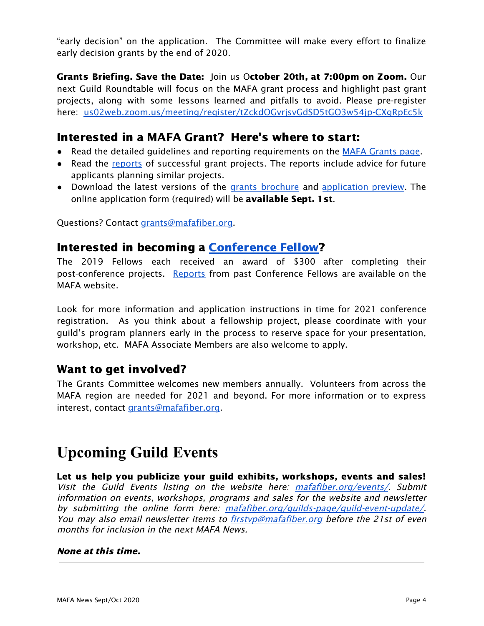"early decision" on the application. The Committee will make every effort to finalize early decision grants by the end of 2020.

Grants Briefing. Save the Date: Join us October 20th, at 7:00pm on Zoom. Our next Guild Roundtable will focus on the MAFA grant process and highlight past grant projects, along with some lessons learned and pitfalls to avoid. Please pre-register here: [us02web.zoom.us/meeting/register/tZckdOGvrjsvGdSD5tGO3w54jp-CXgRpEc5k](https://us02web.zoom.us/meeting/register/tZckdOGvrjsvGdSD5tGO3w54jp-CXgRpEc5k)

## Interested in a MAFA Grant? Here's where to start:

- Read the detailed guidelines and reporting requirements on the MAFA [Grants](https://mafafiber.org/grants/guild-grants/) [page.](https://mafafiber.org/grants/guild-grants/)
- Read the [reports](https://mafafiber.org/grants/guild-grants/grant-awards/) of successful grant projects. The reports include advice for future applicants planning similar projects.
- Download the latest versions of the grants [brochure](https://mafafiber.org/wp-content/uploads/Grants/Grants-Brochure_0619.pdf) and [application](https://mafafiber.org/wp-content/uploads/2019/08/Forms/MAFA-GRANT-APPLICATION-Preview.pdf) preview. The online application form (required) will be **available Sept. 1st**.

Questions? Contact [grants@mafafiber.org.](mailto:grants@mafafiber.org)

## Interested in becoming a [Conference](https://mafafiber.org/grants/fellowships/) Fellow?

The 2019 Fellows each received an award of \$300 after completing their post-conference projects. [Reports](https://mafafiber.org/grants/fellowships/fellowship-awards/) from past Conference Fellows are available on the MAFA website.

Look for more information and application instructions in time for 2021 conference registration. As you think about a fellowship project, please coordinate with your guild's program planners early in the process to reserve space for your presentation, workshop, etc. MAFA Associate Members are also welcome to apply.

## Want to get involved?

The Grants Committee welcomes new members annually. Volunteers from across the MAFA region are needed for 2021 and beyond. For more information or to express interest, contact [grants@mafafiber.org](mailto:grants@mafafiber.org).

# **Upcoming Guild Events**

Let us help you publicize your guild exhibits, workshops, events and sales! Visit the Guild Events listing on the website here: [mafafiber.org/events/](https://mafafiber.org/events/). Submit information on events, workshops, programs and sales for the website and newsletter by submitting the online form here: mafafiber.org/quilds-page/quild-event-update/ You may also email newsletter items to [firstvp@mafafiber.org](mailto:firstvp@mafafiber.org) before the 21st of even months for inclusion in the next MAFA News.

#### None at this time.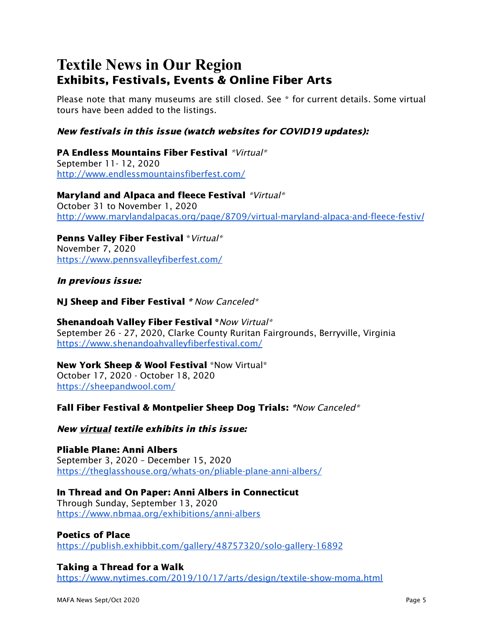# **Textile News in Our Region** Exhibits, Festivals, Events & Online Fiber Arts

Please note that many museums are still closed. See \* for current details. Some virtual tours have been added to the listings.

#### New festivals in this issue (watch websites for COVID19 updates):

PA Endless Mountains Fiber Festival \*Virtual\* September 11- 12, 2020 <http://www.endlessmountainsfiberfest.com/>

Maryland and Alpaca and fleece Festival \*Virtual\* October 31 to November 1, 2020 [http://www.marylandalpacas.org/page/8709/virtual-maryland-alpaca-and-fleece-festiv](http://www.marylandalpacas.org/page/8709/virtual-maryland-alpaca-and-fleece-festival)[l](http://www.marylandalpacas.org/page/8709/virtual-maryland-alpaca-and-fleece-festival)

Penns Valley Fiber Festival \*Virtual\* November 7, 2020 <https://www.pennsvalleyfiberfest.com/>

#### In previous issue:

NJ Sheep and Fiber Festival \* Now Canceled\*

Shenandoah Valley Fiber Festival \* Now Virtual\* September 26 - 27, 2020, Clarke County Ruritan Fairgrounds, Berryville, Virginia <https://www.shenandoahvalleyfiberfestival.com/>

### New York Sheep & Wool Festival \*Now Virtual\*

October 17, 2020 - October 18, 2020 <https://sheepandwool.com/>

#### Fall Fiber Festival & Montpelier Sheep Dog Trials: \*Now Canceled\*

New virtual textile exhibits in this issue:

Pliable Plane: Anni Albers September 3, 2020 – December 15, 2020 <https://theglasshouse.org/whats-on/pliable-plane-anni-albers/>

#### In Thread and On Paper: Anni Albers in Connecticut

Through Sunday, September 13, 2020 <https://www.nbmaa.org/exhibitions/anni-albers>

#### Poetics of Place

<https://publish.exhibbit.com/gallery/48757320/solo-gallery-16892>

#### Taking a Thread for a Walk

<https://www.nytimes.com/2019/10/17/arts/design/textile-show-moma.html>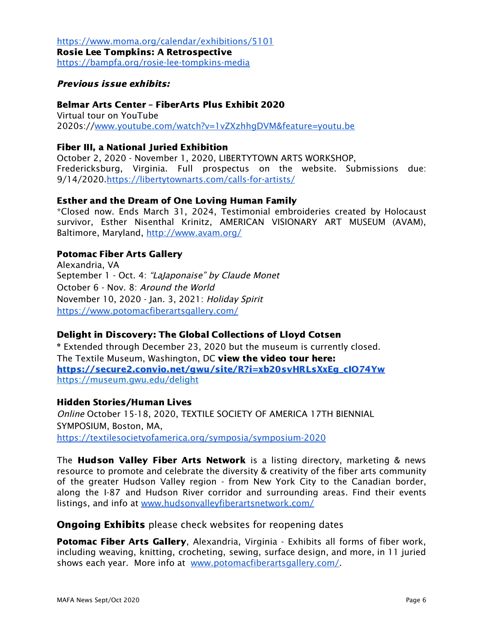<https://www.moma.org/calendar/exhibitions/5101> Rosie Lee Tompkins: A Retrospective <https://bampfa.org/rosie-lee-tompkins-media>

#### Previous issue exhibits:

Belmar Arts Center – FiberArts Plus Exhibit 2020 Virtual tour on YouTube 2020s://[www.youtube.com/watch?v=1vZXzhhgDVM&feature=youtu.be](http://www.youtube.com/watch?v=1vZXzhhgDVM&feature=youtu.be)

#### Fiber III, a National Juried Exhibition

October 2, 2020 - November 1, 2020, LIBERTYTOWN ARTS WORKSHOP, Fredericksburg, Virginia. Full prospectus on the website. Submissions due: 9/14/2020[.https://libertytownarts.com/calls-for-artists/](https://libertytownarts.com/calls-for-artists/)

#### Esther and the Dream of One Loving Human Family

\*Closed now. Ends March 31, 2024, Testimonial embroideries created by Holocaust survivor, Esther Nisenthal Krinitz, AMERICAN VISIONARY ART MUSEUM (AVAM), Baltimore, Maryland, <http://www.avam.org/>

#### Potomac Fiber Arts Gallery

Alexandria, VA September 1 - Oct. 4: "LaJaponaise" by Claude Monet October 6 - Nov. 8: Around the World November 10, 2020 - Jan. 3, 2021: Holiday Spirit <https://www.potomacfiberartsgallery.com/>

#### Delight in Discovery: The Global Collections of Lloyd Cotsen

\* Extended through December 23, 2020 but the museum is currently closed. The Textile Museum, Washington, DC view the video tour here: [https://secure2.convio.net/gwu/site/R?i=xb20svHRLsXxEg\\_cIO74Yw](https://secure2.convio.net/gwu/site/R?i=xb20svHRLsXxEg_cIO74Yw) https://museum.gwu.edu/delight

#### Hidden Stories/Human Lives

Online October 15-18, 2020, TEXTILE SOCIETY OF AMERICA 17TH BIENNIAL SYMPOSIUM, Boston, MA, <https://textilesocietyofamerica.org/symposia/symposium-2020>

The **Hudson Valley Fiber Arts Network** is a listing directory, marketing & news resource to promote and celebrate the diversity & creativity of the fiber arts community of the greater Hudson Valley region - from New York City to the Canadian border, along the I-87 and Hudson River corridor and surrounding areas. Find their events listings, and info at [www.hudsonvalleyfiberartsnetwork.com/](http://www.hudsonvalleyfiberartsnetwork.com/)

#### **Ongoing Exhibits** please check websites for reopening dates

**Potomac Fiber Arts Gallery, Alexandria, Virginia - Exhibits all forms of fiber work,** including weaving, knitting, crocheting, sewing, surface design, and more, in 11 juried shows each year. More info at [www.potomacfiberartsgallery.com/](http://www.potomacfiberartsgallery.com/).